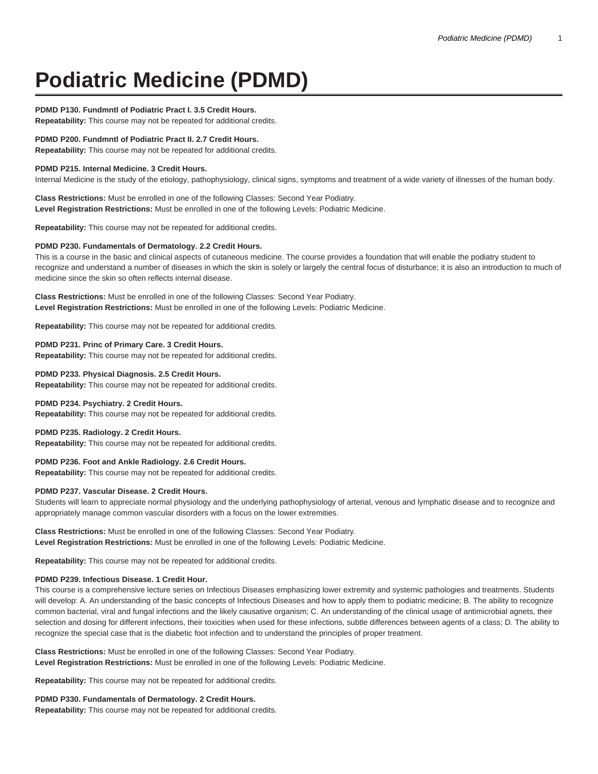# **Podiatric Medicine (PDMD)**

## **PDMD P130. Fundmntl of Podiatric Pract I. 3.5 Credit Hours.**

**Repeatability:** This course may not be repeated for additional credits.

#### **PDMD P200. Fundmntl of Podiatric Pract II. 2.7 Credit Hours.**

**Repeatability:** This course may not be repeated for additional credits.

#### **PDMD P215. Internal Medicine. 3 Credit Hours.**

Internal Medicine is the study of the etiology, pathophysiology, clinical signs, symptoms and treatment of a wide variety of illnesses of the human body.

**Class Restrictions:** Must be enrolled in one of the following Classes: Second Year Podiatry. **Level Registration Restrictions:** Must be enrolled in one of the following Levels: Podiatric Medicine.

**Repeatability:** This course may not be repeated for additional credits.

#### **PDMD P230. Fundamentals of Dermatology. 2.2 Credit Hours.**

This is a course in the basic and clinical aspects of cutaneous medicine. The course provides a foundation that will enable the podiatry student to recognize and understand a number of diseases in which the skin is solely or largely the central focus of disturbance; it is also an introduction to much of medicine since the skin so often reflects internal disease.

**Class Restrictions:** Must be enrolled in one of the following Classes: Second Year Podiatry. **Level Registration Restrictions:** Must be enrolled in one of the following Levels: Podiatric Medicine.

**Repeatability:** This course may not be repeated for additional credits.

#### **PDMD P231. Princ of Primary Care. 3 Credit Hours.**

**Repeatability:** This course may not be repeated for additional credits.

## **PDMD P233. Physical Diagnosis. 2.5 Credit Hours.**

**Repeatability:** This course may not be repeated for additional credits.

#### **PDMD P234. Psychiatry. 2 Credit Hours.**

**Repeatability:** This course may not be repeated for additional credits.

#### **PDMD P235. Radiology. 2 Credit Hours.**

**Repeatability:** This course may not be repeated for additional credits.

#### **PDMD P236. Foot and Ankle Radiology. 2.6 Credit Hours.**

**Repeatability:** This course may not be repeated for additional credits.

#### **PDMD P237. Vascular Disease. 2 Credit Hours.**

Students will learn to appreciate normal physiology and the underlying pathophysiology of arterial, venous and lymphatic disease and to recognize and appropriately manage common vascular disorders with a focus on the lower extremities.

#### **Class Restrictions:** Must be enrolled in one of the following Classes: Second Year Podiatry. **Level Registration Restrictions:** Must be enrolled in one of the following Levels: Podiatric Medicine.

**Repeatability:** This course may not be repeated for additional credits.

## **PDMD P239. Infectious Disease. 1 Credit Hour.**

This course is a comprehensive lecture series on Infectious Diseases emphasizing lower extremity and systemic pathologies and treatments. Students will develop: A. An understanding of the basic concepts of Infectious Diseases and how to apply them to podiatric medicine; B. The ability to recognize common bacterial, viral and fungal infections and the likely causative organism; C. An understanding of the clinical usage of antimicrobial agnets, their selection and dosing for different infections, their toxicities when used for these infections, subtle differences between agents of a class; D. The ability to recognize the special case that is the diabetic foot infection and to understand the principles of proper treatment.

#### **Class Restrictions:** Must be enrolled in one of the following Classes: Second Year Podiatry. **Level Registration Restrictions:** Must be enrolled in one of the following Levels: Podiatric Medicine.

**Repeatability:** This course may not be repeated for additional credits.

#### **PDMD P330. Fundamentals of Dermatology. 2 Credit Hours.**

**Repeatability:** This course may not be repeated for additional credits.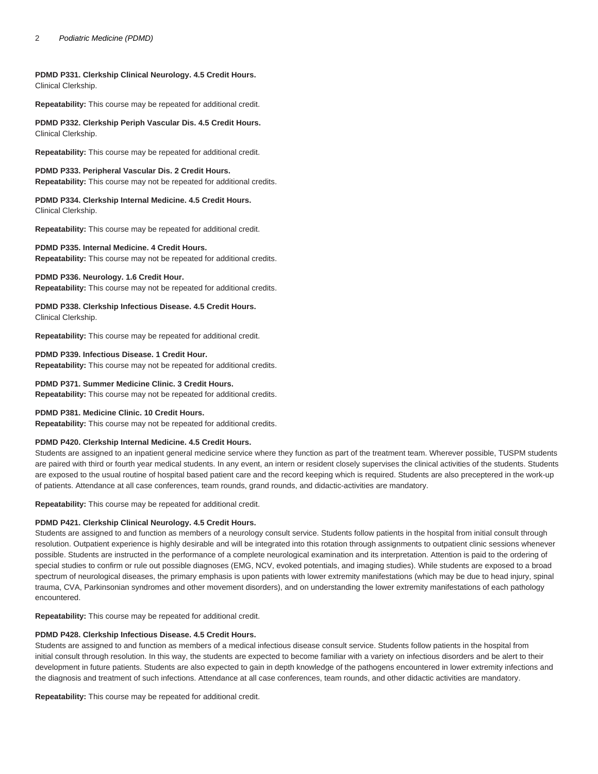#### 2 Podiatric Medicine (PDMD)

## **PDMD P331. Clerkship Clinical Neurology. 4.5 Credit Hours.** Clinical Clerkship.

**Repeatability:** This course may be repeated for additional credit.

**PDMD P332. Clerkship Periph Vascular Dis. 4.5 Credit Hours.** Clinical Clerkship.

**Repeatability:** This course may be repeated for additional credit.

# **PDMD P333. Peripheral Vascular Dis. 2 Credit Hours.**

**Repeatability:** This course may not be repeated for additional credits.

**PDMD P334. Clerkship Internal Medicine. 4.5 Credit Hours.** Clinical Clerkship.

**Repeatability:** This course may be repeated for additional credit.

## **PDMD P335. Internal Medicine. 4 Credit Hours.**

**Repeatability:** This course may not be repeated for additional credits.

## **PDMD P336. Neurology. 1.6 Credit Hour.**

**Repeatability:** This course may not be repeated for additional credits.

**PDMD P338. Clerkship Infectious Disease. 4.5 Credit Hours.** Clinical Clerkship.

**Repeatability:** This course may be repeated for additional credit.

## **PDMD P339. Infectious Disease. 1 Credit Hour.**

**Repeatability:** This course may not be repeated for additional credits.

# **PDMD P371. Summer Medicine Clinic. 3 Credit Hours.**

**Repeatability:** This course may not be repeated for additional credits.

## **PDMD P381. Medicine Clinic. 10 Credit Hours.**

**Repeatability:** This course may not be repeated for additional credits.

## **PDMD P420. Clerkship Internal Medicine. 4.5 Credit Hours.**

Students are assigned to an inpatient general medicine service where they function as part of the treatment team. Wherever possible, TUSPM students are paired with third or fourth year medical students. In any event, an intern or resident closely supervises the clinical activities of the students. Students are exposed to the usual routine of hospital based patient care and the record keeping which is required. Students are also preceptered in the work-up of patients. Attendance at all case conferences, team rounds, grand rounds, and didactic-activities are mandatory.

**Repeatability:** This course may be repeated for additional credit.

## **PDMD P421. Clerkship Clinical Neurology. 4.5 Credit Hours.**

Students are assigned to and function as members of a neurology consult service. Students follow patients in the hospital from initial consult through resolution. Outpatient experience is highly desirable and will be integrated into this rotation through assignments to outpatient clinic sessions whenever possible. Students are instructed in the performance of a complete neurological examination and its interpretation. Attention is paid to the ordering of special studies to confirm or rule out possible diagnoses (EMG, NCV, evoked potentials, and imaging studies). While students are exposed to a broad spectrum of neurological diseases, the primary emphasis is upon patients with lower extremity manifestations (which may be due to head injury, spinal trauma, CVA, Parkinsonian syndromes and other movement disorders), and on understanding the lower extremity manifestations of each pathology encountered.

**Repeatability:** This course may be repeated for additional credit.

#### **PDMD P428. Clerkship Infectious Disease. 4.5 Credit Hours.**

Students are assigned to and function as members of a medical infectious disease consult service. Students follow patients in the hospital from initial consult through resolution. In this way, the students are expected to become familiar with a variety on infectious disorders and be alert to their development in future patients. Students are also expected to gain in depth knowledge of the pathogens encountered in lower extremity infections and the diagnosis and treatment of such infections. Attendance at all case conferences, team rounds, and other didactic activities are mandatory.

**Repeatability:** This course may be repeated for additional credit.